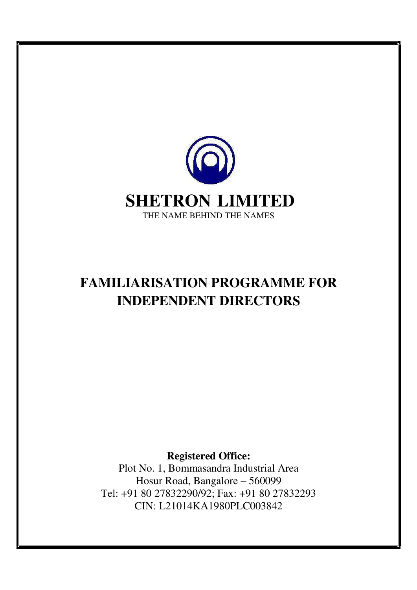

## **FAMILIARISATION PROGRAMME FOR INDEPENDENT DIRECTORS**

**Registered Office:**

Plot No. 1, Bommasandra Industrial Area Hosur Road, Bangalore – 560099 Tel: +91 80 27832290/92; Fax: +91 80 27832293 CIN: L21014KA1980PLC003842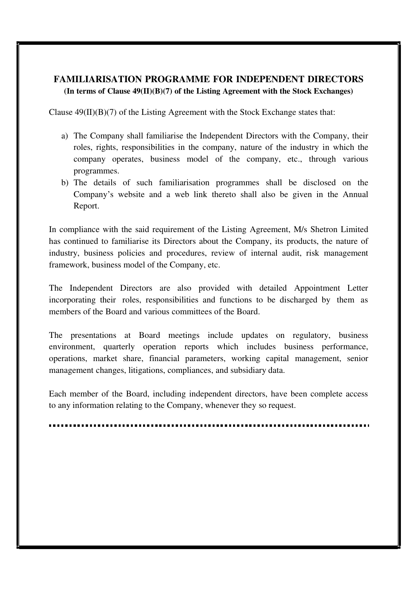## **FAMILIARISATION PROGRAMME FOR INDEPENDENT DIRECTORS (In terms of Clause 49(II)(B)(7) of the Listing Agreement with the Stock Exchanges)**

Clause  $49(II)(B)(7)$  of the Listing Agreement with the Stock Exchange states that:

- a) The Company shall familiarise the Independent Directors with the Company, their roles, rights, responsibilities in the company, nature of the industry in which the company operates, business model of the company, etc., through various programmes.
- b) The details of such familiarisation programmes shall be disclosed on the Company's website and a web link thereto shall also be given in the Annual Report.

In compliance with the said requirement of the Listing Agreement, M/s Shetron Limited has continued to familiarise its Directors about the Company, its products, the nature of industry, business policies and procedures, review of internal audit, risk management framework, business model of the Company, etc.

The Independent Directors are also provided with detailed Appointment Letter incorporating their roles, responsibilities and functions to be discharged by them as members of the Board and various committees of the Board.

The presentations at Board meetings include updates on regulatory, business environment, quarterly operation reports which includes business performance, operations, market share, financial parameters, working capital management, senior management changes, litigations, compliances, and subsidiary data.

Each member of the Board, including independent directors, have been complete access to any information relating to the Company, whenever they so request.